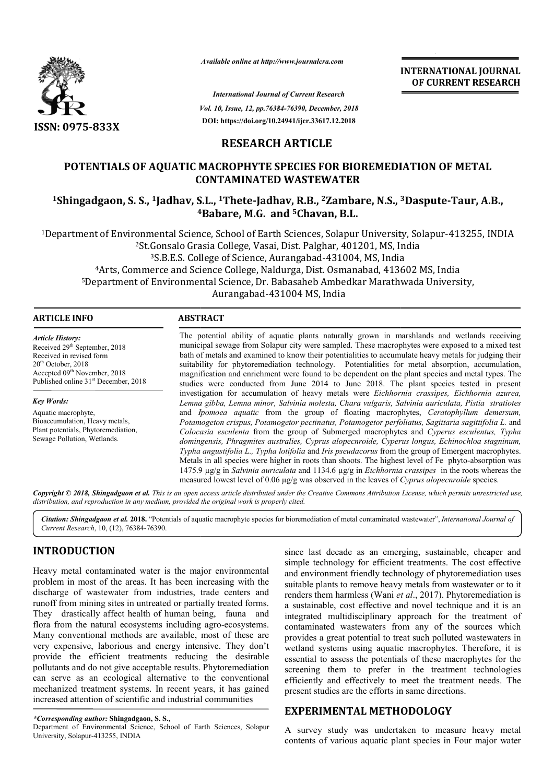

**INTERNATIONAL JOURNAL OF CURRENT RESEARCH**

*Vol. 10, Issue, 12, pp. pp.76384-76390, December, 2018 International Journal of Current Research* **DOI: https://doi.org/10.24941/ijcr.33617.12.2018**

# **RESEARCH ARTICLE**

# **POTENTIALS OF AQUATIC MACROPHYTE SPECIES FOR BIOREMEDIATION OF METAL CONTAMINATED WASTEWATER**  POTENTIALS OF AQUATIC MACROPHYTE SPECIES FOR BIOREMEDIATION OF METAL<br>CONTAMINATED WASTEWATER<br><sup>1</sup>Shingadgaon, S. S., <sup>1</sup>Jadhav, S.L., <sup>1</sup>Thete-Jadhav, R.B., <sup>2</sup>Zambare, N.S., <sup>3</sup>Daspute-Taur, A.B.,

**4 4Babare, M.G. and 5Chavan, B.L.**

<sup>1</sup>Department of Environmental Science, School of Earth Sciences, Solapur University, Solapur-413255, INDIA<br><sup>2</sup>St.Gonsalo Grasia College, Vasai, Dist. Palghar, 401201, MS, India <sup>2</sup>St.Gonsalo Grasia College, Vasai, Dist. Palghar, 401201, MS, India <sup>3</sup>S.B.E.S. College of Science, Aurangabad-431004, MS, India 4Arts, Commerce and Science College, Naldurga, Dist. Osmanabad, 413602 MS, India <sup>4</sup>Arts, Commerce and Science College, Naldurga, Dist. Osmanabad, 413602 MS, India<br>5Department of Environmental Science, Dr. Babasaheb Ambedkar Marathwada University, Aurangabad-431004 MS, India

### **ARTICLE INFO ABSTRACT**

*Article History:* Received 29<sup>th</sup> September, 2018 Received in revised form  $20<sup>th</sup>$  October, 2018 Accepted 09<sup>th</sup> November, 2018 Published online 31<sup>st</sup> December, 2018

*Key Words:*

Aquatic macrophyte, Bioaccumulation, Heavy metals, Plant potentials, Phytoremediation, Sewage Pollution, Wetlands.

The potential ability of aquatic plants naturally grown in marshlands and wetlands receiving municipal sewage from Solapur city were sampled. These macrophytes were exposed to a mixed test bath of metals and examined to know their potentialities to accumulate heavy metals for judging their suitability for phytoremediation technology. Potentialities for metal absorption, accumulation, magnification and enrichment were found to be dependent on the plant species and metal types. The studies were conducted from June 2014 to June 2018. The plant species tested in present investigation for accumulation of heavy metals were *Eichhornia crassipes, Eichhornia azurea,*  Lemna gibba, Lemna minor, Salvinia molesta, Chara vulgaris, Salvinia auriculata, Pistia stratiotes and *Ipomoea aquatic* from the group of floating macrophytes, Ceratophyllum demersum, *Potamogeton crispus, Potamogetor pectinatus, Potamogetor perfoliatus, Sagittaria sagittifolia L. sagittifolia L.* and Colocasia esculenta from the group of Submerged macrophytes and Cyperus esculentus, Typha *domingensis, Phragmites australies, Cyprus alopecnroide, Cyperus longus, Echinochloa stagninum, australies, Cyprus* Typha angustifolia L., Typha lotifolia and *Iris pseudacorus* from the group of Emergent macrophytes. Metals in all species were higher in roots than shoots. The highest level of Fe phyto-absorption was 1475.9 µg/g in *Salvinia auriculata* and 1134.6 µg/g in *Eichhornia crassipes* in the roots whereas the measured lowest level of 0.06  $\mu$ g/g was observed in the leaves of *Cyprus alopecnroide* species. *Available online at http://www.journalcra.com*<br> *Pot. 10, Issue, 12, pp.76384-76390, December,<br>
Pot. 10, Issue, 12, pp.76384-76390, December,<br>
DOI: https://doi.org/10.24941/ijcr.33617.12.2<br> RESEARCH ARTICLE<br> AQUATIC MA* itial ability of aquatic plants naturally grown in marshlands and wetlands receiving sewage from Solapur city were sampled. These macrophytes were exposed to a mixed test tals and examined to know their potentialities to a INTERNATIONAL JOURNAL<br>
OF CURRENT RESEARCH<br>
OF CURRENT RESEARCH<br>
COVERT RESEARCH<br>
TREMEDIATION OF METAL<br>
TREMEDIATION OF METAL<br>
TREMEDIATION OF METAL<br>
TO 1, MS, India<br>
MS, India<br>
MS, India<br>
MS, India<br>
MS, India<br>
to account

Copyright © 2018, Shingadgaon et al. This is an open access article distributed under the Creative Commons Attribution License, which permits unrestricted use, *distribution, and reproduction in any medium, provided the original work is properly cited.*

Citation: Shingadgaon et al. 2018. "Potentials of aquatic macrophyte species for bioremediation of metal contaminated wastewater", International Journal of *Current Research*, 10, (12), 76384-76390.

# **INTRODUCTION**

Heavy metal contaminated water is the major environmental problem in most of the areas. It has been increasing with the discharge of wastewater from industries, trade centers and runoff from mining sites in untreated or partially treated forms. They drastically affect health of human being, fauna and They drastically affect health of human being, fauna and flora from the natural ecosystems including agro-ecosystems. Many conventional methods are available, most of these are very expensive, laborious and energy intensive. They don't provide the efficient treatments reducing the desirable pollutants and do not give acceptable results. Phytoremediation can serve as an ecological alternative to the conventional mechanized treatment systems. In recent years, it has gained increased attention of scientific and industrial communities

Department of Environmental Science, School of Earth Sciences, Solapur University, Solapur-413255, INDIA

since last decade as an emerging, sustainable, cheaper and since last decade as an emerging, sustainable, cheaper and simple technology for efficient treatments. The cost effective and environment friendly technology of phytoremediation uses suitable plants to remove heavy metals from wastewater or to it renders them harmless (Wani *et al*., 2017). Phytoremediation is a sustainable, cost effective and novel technique and it is an integrated multidisciplinary approach for the treatment of contaminated wastewaters from any of the sources which provides a great potential to treat such polluted wastewaters in wetland systems using aquatic macrophytes. Therefore, it is essential to assess the potentials of these macrophytes for the essential to assess the potentials of these macrophytes for the screening them to prefer in the treatment technologies efficiently and effectively to meet the treatment needs. The present studies are the efforts in same directions. a sustainable, cost effective and novel technique and it is an integrated multidisciplinary approach for the treatment of contaminated wastewaters from any of the sources which provides a great potential to treat such poll

# **EXPERIMENTAL METHODOLOGY METHODOLOGY**

A survey study was undertaken to measure heavy metal contents of various aquatic plant species in Four major water

*<sup>\*</sup>Corresponding author:* **Shingadgaon, S. S.,**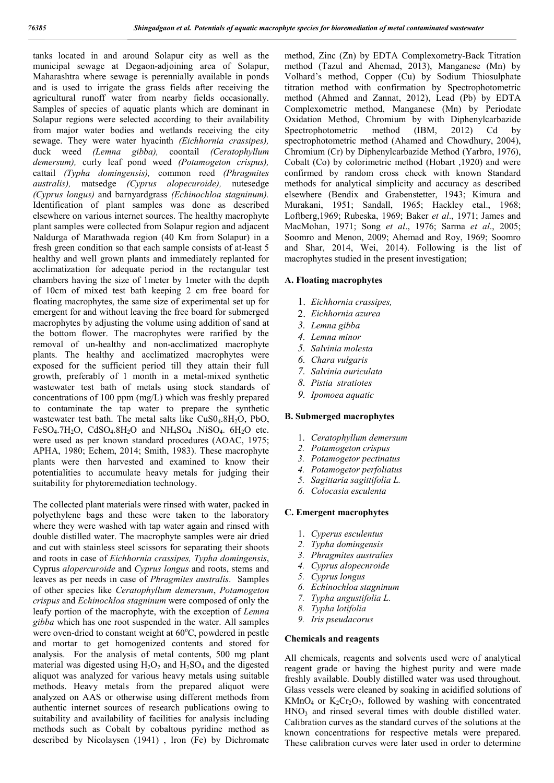tanks located in and around Solapur city as well as the municipal sewage at Degaon-adjoining area of Solapur, Maharashtra where sewage is perennially available in ponds and is used to irrigate the grass fields after receiving the agricultural runoff water from nearby fields occasionally. Samples of species of aquatic plants which are dominant in Solapur regions were selected according to their availability from major water bodies and wetlands receiving the city sewage. They were water hyacinth *(Eichhornia crassipes),* duck weed *(Lemna gibba),* coontail *(Ceratophyllum demersum),* curly leaf pond weed *(Potamogeton crispus),* cattail *(Typha domingensis),* common reed *(Phragmites australis),* matsedge *(Cyprus alopecuroide),* nutesedge *(Cyprus longus)* and barnyardgrass *(Echinochloa stagninum).* Identification of plant samples was done as described elsewhere on various internet sources. The healthy macrophyte plant samples were collected from Solapur region and adjacent Naldurga of Marathwada region (40 Km from Solapur) in a fresh green condition so that each sample consists of at-least 5 healthy and well grown plants and immediately replanted for acclimatization for adequate period in the rectangular test chambers having the size of 1meter by 1meter with the depth of 10cm of mixed test bath keeping 2 cm free board for floating macrophytes, the same size of experimental set up for emergent for and without leaving the free board for submerged macrophytes by adjusting the volume using addition of sand at the bottom flower. The macrophytes were rarified by the removal of un-healthy and non-acclimatized macrophyte plants. The healthy and acclimatized macrophytes were exposed for the sufficient period till they attain their full growth, preferably of 1 month in a metal-mixed synthetic wastewater test bath of metals using stock standards of concentrations of 100 ppm (mg/L) which was freshly prepared to contaminate the tap water to prepare the synthetic wastewater test bath. The metal salts like  $CuS0<sub>4</sub>.8H<sub>2</sub>O$ , PbO, FeSO<sub>4</sub>.7H<sub>2</sub>O, CdSO<sub>4</sub>.8H<sub>2</sub>O and NH<sub>4</sub>SO<sub>4</sub> .NiSO<sub>4</sub>. 6H<sub>2</sub>O etc. were used as per known standard procedures (AOAC, 1975; APHA, 1980; Echem, 2014; Smith, 1983). These macrophyte plants were then harvested and examined to know their potentialities to accumulate heavy metals for judging their suitability for phytoremediation technology.

The collected plant materials were rinsed with water, packed in polyethylene bags and these were taken to the laboratory where they were washed with tap water again and rinsed with double distilled water. The macrophyte samples were air dried and cut with stainless steel scissors for separating their shoots and roots in case of *Eichhornia crassipes, Typha domingensis*, Cyprus *alopercuroide* and *Cyprus longus* and roots, stems and leaves as per needs in case of *Phragmites australis*. Samples of other species like *Ceratophyllum demersum*, *Potamogeton crispus* and *Echinochloa stagninum* were composed of only the leafy portion of the macrophyte, with the exception of *Lemna gibba* which has one root suspended in the water. All samples were oven-dried to constant weight at  $60^{\circ}$ C, powdered in pestle and mortar to get homogenized contents and stored for analysis. For the analysis of metal contents, 500 mg plant material was digested using  $H_2O_2$  and  $H_2SO_4$  and the digested aliquot was analyzed for various heavy metals using suitable methods. Heavy metals from the prepared aliquot were analyzed on AAS or otherwise using different methods from authentic internet sources of research publications owing to suitability and availability of facilities for analysis including methods such as Cobalt by cobaltous pyridine method as described by Nicolaysen (1941) , Iron (Fe) by Dichromate

method, Zinc (Zn) by EDTA Complexometry-Back Titration method (Tazul and Ahemad, 2013), Manganese (Mn) by Volhard's method, Copper (Cu) by Sodium Thiosulphate titration method with confirmation by Spectrophotometric method (Ahmed and Zannat, 2012), Lead (Pb) by EDTA Complexometric method, Manganese (Mn) by Periodate Oxidation Method, Chromium by with Diphenylcarbazide Spectrophotometric method (IBM, 2012) Cd by spectrophotometric method (Ahamed and Chowdhury, 2004), Chromium (Cr) by Diphenylcarbazide Method (Yarbro, 1976), Cobalt (Co) by colorimetric method (Hobart ,1920) and were confirmed by random cross check with known Standard methods for analytical simplicity and accuracy as described elsewhere (Bendix and Grabenstetter, 1943; Kimura and Murakani, 1951; Sandall, 1965; Hackley etal., 1968; Loftberg,1969; Rubeska, 1969; Baker *et al*., 1971; James and MacMohan, 1971; Song *et al*., 1976; Sarma *et al*., 2005; Soomro and Menon, 2009; Ahemad and Roy, 1969; Soomro and Shar, 2014, Wei, 2014). Following is the list of macrophytes studied in the present investigation;

## **A. Floating macrophytes**

- 1. *Eichhornia crassipes,*
- 2. *Eichhornia azurea*
- *3. Lemna gibba*
- *4. Lemna minor*
- *5. Salvinia molesta*
- *6. Chara vulgaris*
- *7. Salvinia auriculata*
- *8. Pistia stratiotes*
- *9. Ipomoea aquatic*

#### **B. Submerged macrophytes**

- 1. *Ceratophyllum demersum*
- *2. Potamogeton crispus*
- *3. Potamogetor pectinatus*
- *4. Potamogetor perfoliatus*
- *5. Sagittaria sagittifolia L.*
- *6. Colocasia esculenta*

#### **C. Emergent macrophytes**

- 1. *Cyperus esculentus*
- *2. Typha domingensis*
- *3. Phragmites australies*
- *4. Cyprus alopecnroide*
- *5. Cyprus longus*
- *6. Echinochloa stagninum*
- *7. Typha angustifolia L.*
- *8. Typha lotifolia*
- *9. Iris pseudacorus*

#### **Chemicals and reagents**

All chemicals, reagents and solvents used were of analytical reagent grade or having the highest purity and were made freshly available. Doubly distilled water was used throughout. Glass vessels were cleaned by soaking in acidified solutions of KMnO<sub>4</sub> or  $K_2Cr_2O_7$ , followed by washing with concentrated HNO<sub>3</sub> and rinsed several times with double distilled water. Calibration curves as the standard curves of the solutions at the known concentrations for respective metals were prepared. These calibration curves were later used in order to determine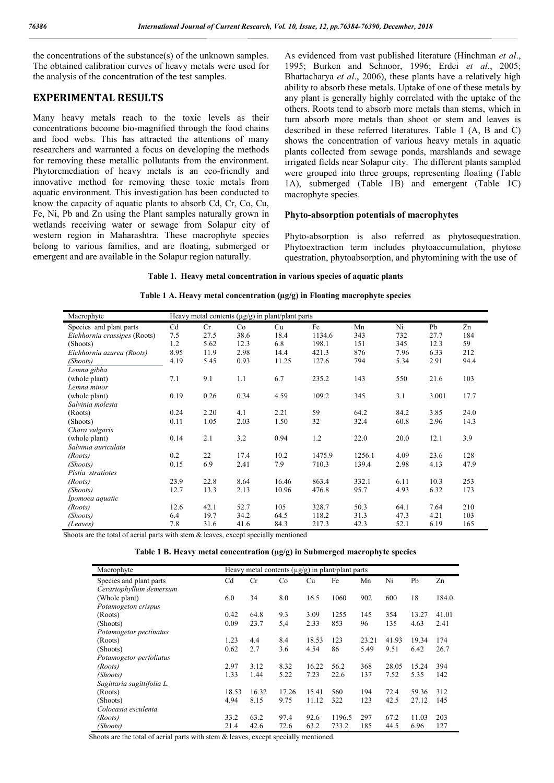the concentrations of the substance(s) of the unknown samples. The obtained calibration curves of heavy metals were used for the analysis of the concentration of the test samples.

## **EXPERIMENTAL RESULTS**

Many heavy metals reach to the toxic levels as their concentrations become bio-magnified through the food chains and food webs. This has attracted the attentions of many researchers and warranted a focus on developing the methods for removing these metallic pollutants from the environment. Phytoremediation of heavy metals is an eco-friendly and innovative method for removing these toxic metals from aquatic environment. This investigation has been conducted to know the capacity of aquatic plants to absorb Cd, Cr, Co, Cu, Fe, Ni, Pb and Zn using the Plant samples naturally grown in wetlands receiving water or sewage from Solapur city of western region in Maharashtra. These macrophyte species belong to various families, and are floating, submerged or emergent and are available in the Solapur region naturally.

As evidenced from vast published literature (Hinchman *et al*., 1995; Burken and Schnoor, 1996; Erdei *et al*., 2005; Bhattacharya *et al*., 2006), these plants have a relatively high ability to absorb these metals. Uptake of one of these metals by any plant is generally highly correlated with the uptake of the others. Roots tend to absorb more metals than stems, which in turn absorb more metals than shoot or stem and leaves is described in these referred literatures. Table 1 (A, B and C) shows the concentration of various heavy metals in aquatic plants collected from sewage ponds, marshlands and sewage irrigated fields near Solapur city. The different plants sampled were grouped into three groups, representing floating (Table 1A), submerged (Table 1B) and emergent (Table 1C) macrophyte species.

### **Phyto-absorption potentials of macrophytes**

Phyto-absorption is also referred as phytosequestration. Phytoextraction term includes phytoaccumulation, phytose questration, phytoabsorption, and phytomining with the use of

**Table 1. Heavy metal concentration in various species of aquatic plants**

**Table 1 A. Heavy metal concentration (µg/g) in Floating macrophyte species**

| Macrophyte                   | Heavy metal contents $(\mu g/g)$ in plant/plant parts |      |      |       |        |        |      |       |      |  |
|------------------------------|-------------------------------------------------------|------|------|-------|--------|--------|------|-------|------|--|
| Species and plant parts      | Cd                                                    | Cr   | Co   | Cu    | Fe     | Mn     | Ni   | Pb    | Zn   |  |
| Eichhornia crassipes (Roots) | 7.5                                                   | 27.5 | 38.6 | 18.4  | 1134.6 | 343    | 732  | 27.7  | 184  |  |
| (Shoots)                     | 1.2                                                   | 5.62 | 12.3 | 6.8   | 198.1  | 151    | 345  | 12.3  | 59   |  |
| Eichhornia azurea (Roots)    | 8.95                                                  | 11.9 | 2.98 | 14.4  | 421.3  | 876    | 7.96 | 6.33  | 212  |  |
| (Shoots)                     | 4.19                                                  | 5.45 | 0.93 | 11.25 | 127.6  | 794    | 5.34 | 2.91  | 94.4 |  |
| Lemna gibba                  |                                                       |      |      |       |        |        |      |       |      |  |
| (whole plant)                | 7.1                                                   | 9.1  | 1.1  | 6.7   | 235.2  | 143    | 550  | 21.6  | 103  |  |
| Lemna minor                  |                                                       |      |      |       |        |        |      |       |      |  |
| (whole plant)                | 0.19                                                  | 0.26 | 0.34 | 4.59  | 109.2  | 345    | 3.1  | 3.001 | 17.7 |  |
| Salvinia molesta             |                                                       |      |      |       |        |        |      |       |      |  |
| (Roots)                      | 0.24                                                  | 2.20 | 4.1  | 2.21  | 59     | 64.2   | 84.2 | 3.85  | 24.0 |  |
| (Shoots)                     | 0.11                                                  | 1.05 | 2.03 | 1.50  | 32     | 32.4   | 60.8 | 2.96  | 14.3 |  |
| Chara vulgaris               |                                                       |      |      |       |        |        |      |       |      |  |
| (whole plant)                | 0.14                                                  | 2.1  | 3.2  | 0.94  | 1.2    | 22.0   | 20.0 | 12.1  | 3.9  |  |
| Salvinia auriculata          |                                                       |      |      |       |        |        |      |       |      |  |
| (Roots)                      | 0.2                                                   | 22   | 17.4 | 10.2  | 1475.9 | 1256.1 | 4.09 | 23.6  | 128  |  |
| (Shoots)                     | 0.15                                                  | 6.9  | 2.41 | 7.9   | 710.3  | 139.4  | 2.98 | 4.13  | 47.9 |  |
| Pistia stratiotes            |                                                       |      |      |       |        |        |      |       |      |  |
| (Roots)                      | 23.9                                                  | 22.8 | 8.64 | 16.46 | 863.4  | 332.1  | 6.11 | 10.3  | 253  |  |
| (Shoots)                     | 12.7                                                  | 13.3 | 2.13 | 10.96 | 476.8  | 95.7   | 4.93 | 6.32  | 173  |  |
| Ipomoea aquatic              |                                                       |      |      |       |        |        |      |       |      |  |
| (Roots)                      | 12.6                                                  | 42.1 | 52.7 | 105   | 328.7  | 50.3   | 64.1 | 7.64  | 210  |  |
| (Shoots)                     | 6.4                                                   | 19.7 | 34.2 | 64.5  | 118.2  | 31.3   | 47.3 | 4.21  | 103  |  |
| (Leaves)                     | 7.8                                                   | 31.6 | 41.6 | 84.3  | 217.3  | 42.3   | 52.1 | 6.19  | 165  |  |

Shoots are the total of aerial parts with stem & leaves, except specially mentioned

| Macrophyte                 | Heavy metal contents $(\mu g/g)$ in plant/plant parts |       |       |       |        |       |       |       |       |
|----------------------------|-------------------------------------------------------|-------|-------|-------|--------|-------|-------|-------|-------|
| Species and plant parts    | C <sub>d</sub>                                        | Cr    | Co    | Cu    | Fe     | Mn    | Ni    | Pb    | Zn    |
| Cerartophyllum demersum    |                                                       |       |       |       |        |       |       |       |       |
| (Whole plant)              | 6.0                                                   | 34    | 8.0   | 16.5  | 1060   | 902   | 600   | 18    | 184.0 |
| Potamogeton crispus        |                                                       |       |       |       |        |       |       |       |       |
| (Roots)                    | 0.42                                                  | 64.8  | 9.3   | 3.09  | 1255   | 145   | 354   | 13.27 | 41.01 |
| (Shoots)                   | 0.09                                                  | 23.7  | 5,4   | 2.33  | 853    | 96    | 135   | 4.63  | 2.41  |
| Potamogetor pectinatus     |                                                       |       |       |       |        |       |       |       |       |
| (Roots)                    | 1.23                                                  | 4.4   | 8.4   | 18.53 | 123    | 23.21 | 41.93 | 19.34 | 174   |
| (Shoots)                   | 0.62                                                  | 2.7   | 3.6   | 4.54  | 86     | 5.49  | 9.51  | 6.42  | 26.7  |
| Potamogetor perfoliatus    |                                                       |       |       |       |        |       |       |       |       |
| (Roots)                    | 2.97                                                  | 3.12  | 8.32  | 16.22 | 56.2   | 368   | 28.05 | 15.24 | 394   |
| (Shoots)                   | 1.33                                                  | 1.44  | 5.22  | 7.23  | 22.6   | 137   | 7.52  | 5.35  | 142   |
| Sagittaria sagittifolia L. |                                                       |       |       |       |        |       |       |       |       |
| (Roots)                    | 18.53                                                 | 16.32 | 17.26 | 15.41 | 560    | 194   | 72.4  | 59.36 | 312   |
| (Shoots)                   | 4.94                                                  | 8.15  | 9.75  | 11.12 | 322    | 123   | 42.5  | 27.12 | 145   |
| Colocasia esculenta        |                                                       |       |       |       |        |       |       |       |       |
| (Roots)                    | 33.2                                                  | 63.2  | 97.4  | 92.6  | 1196.5 | 297   | 67.2  | 11.03 | 203   |
| (Shoots)                   | 21.4                                                  | 42.6  | 72.6  | 63.2  | 733.2  | 185   | 44.5  | 6.96  | 127   |

Shoots are the total of aerial parts with stem & leaves, except specially mentioned.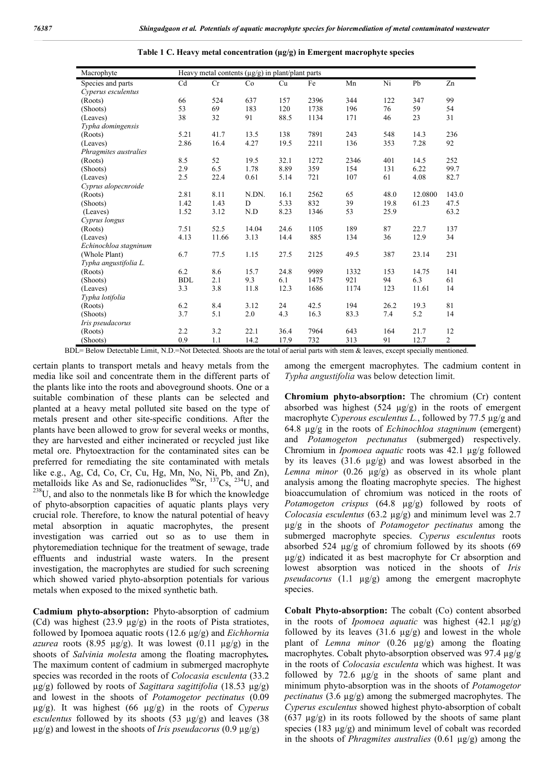| Macrophyte            | Heavy metal contents $(\mu g/g)$ in plant/plant parts |       |       |      |      |      |      |         |                |
|-----------------------|-------------------------------------------------------|-------|-------|------|------|------|------|---------|----------------|
| Species and parts     | Cd                                                    | Cr    | Co    | Cu   | Fe   | Mn   | Ni   | Pb      | Zn             |
| Cyperus esculentus    |                                                       |       |       |      |      |      |      |         |                |
| (Roots)               | 66                                                    | 524   | 637   | 157  | 2396 | 344  | 122  | 347     | 99             |
| (Shoots)              | 53                                                    | 69    | 183   | 120  | 1738 | 196  | 76   | 59      | 54             |
| (Leaves)              | 38                                                    | 32    | 91    | 88.5 | 1134 | 171  | 46   | 23      | 31             |
| Typha domingensis     |                                                       |       |       |      |      |      |      |         |                |
| (Roots)               | 5.21                                                  | 41.7  | 13.5  | 138  | 7891 | 243  | 548  | 14.3    | 236            |
| (Leaves)              | 2.86                                                  | 16.4  | 4.27  | 19.5 | 2211 | 136  | 353  | 7.28    | 92             |
| Phragmites australies |                                                       |       |       |      |      |      |      |         |                |
| (Roots)               | 8.5                                                   | 52    | 19.5  | 32.1 | 1272 | 2346 | 401  | 14.5    | 252            |
| (Shoots)              | 2.9                                                   | 6.5   | 1.78  | 8.89 | 359  | 154  | 131  | 6.22    | 99.7           |
| (Leaves)              | 2.5                                                   | 22.4  | 0.61  | 5.14 | 721  | 107  | 61   | 4.08    | 82.7           |
| Cyprus alopecnroide   |                                                       |       |       |      |      |      |      |         |                |
| (Roots)               | 2.81                                                  | 8.11  | N.DN. | 16.1 | 2562 | 65   | 48.0 | 12.0800 | 143.0          |
| (Shoots)              | 1.42                                                  | 1.43  | D     | 5.33 | 832  | 39   | 19.8 | 61.23   | 47.5           |
| (Leaves)              | 1.52                                                  | 3.12  | N.D   | 8.23 | 1346 | 53   | 25.9 |         | 63.2           |
| Cyprus longus         |                                                       |       |       |      |      |      |      |         |                |
| (Roots)               | 7.51                                                  | 52.5  | 14.04 | 24.6 | 1105 | 189  | 87   | 22.7    | 137            |
| (Leaves)              | 4.13                                                  | 11.66 | 3.13  | 14.4 | 885  | 134  | 36   | 12.9    | 34             |
| Echinochloa stagninum |                                                       |       |       |      |      |      |      |         |                |
| (Whole Plant)         | 6.7                                                   | 77.5  | 1.15  | 27.5 | 2125 | 49.5 | 387  | 23.14   | 231            |
| Typha angustifolia L. |                                                       |       |       |      |      |      |      |         |                |
| (Roots)               | 6.2                                                   | 8.6   | 15.7  | 24.8 | 9989 | 1332 | 153  | 14.75   | 141            |
| (Shoots)              | <b>BDL</b>                                            | 2.1   | 9.3   | 6.1  | 1475 | 921  | 94   | 6.3     | 61             |
| (Leaves)              | 3.3                                                   | 3.8   | 11.8  | 12.3 | 1686 | 1174 | 123  | 11.61   | 14             |
| Typha lotifolia       |                                                       |       |       |      |      |      |      |         |                |
| (Roots)               | 6.2                                                   | 8.4   | 3.12  | 24   | 42.5 | 194  | 26.2 | 19.3    | 81             |
| (Shoots)              | 3.7                                                   | 5.1   | 2.0   | 4.3  | 16.3 | 83.3 | 7.4  | 5.2     | 14             |
| Iris pseudacorus      |                                                       |       |       |      |      |      |      |         |                |
| (Roots)               | 2.2                                                   | 3.2   | 22.1  | 36.4 | 7964 | 643  | 164  | 21.7    | 12             |
| (Shoots)              | 0.9                                                   | 1.1   | 14.2  | 17.9 | 732  | 313  | 91   | 12.7    | $\overline{c}$ |

**Table 1 C. Heavy metal concentration (µg/g) in Emergent macrophyte species**

BDL= Below Detectable Limit, N.D.=Not Detected. Shoots are the total of aerial parts with stem & leaves, except specially mentioned.

certain plants to transport metals and heavy metals from the media like soil and concentrate them in the different parts of the plants like into the roots and aboveground shoots. One or a suitable combination of these plants can be selected and planted at a heavy metal polluted site based on the type of metals present and other site-specific conditions. After the plants have been allowed to grow for several weeks or months, they are harvested and either incinerated or recycled just like metal ore. Phytoextraction for the contaminated sites can be preferred for remediating the site contaminated with metals like e.g., Ag, Cd, Co, Cr, Cu, Hg, Mn, No, Ni, Pb, and Zn), metalloids like As and Se, radionuclides  $90$ Sr,  $137$ Cs,  $234$ U, and  $^{238}$ U, and also to the nonmetals like B for which the knowledge of phyto-absorption capacities of aquatic plants plays very crucial role. Therefore, to know the natural potential of heavy metal absorption in aquatic macrophytes, the present investigation was carried out so as to use them in phytoremediation technique for the treatment of sewage, trade effluents and industrial waste waters. In the present investigation, the macrophytes are studied for such screening which showed varied phyto-absorption potentials for various metals when exposed to the mixed synthetic bath.

**Cadmium phyto-absorption:** Phyto-absorption of cadmium (Cd) was highest (23.9 µg/g) in the roots of Pista stratiotes, followed by Ipomoea aquatic roots (12.6 µg/g) and *Eichhornia azurea* roots (8.95  $\mu$ g/g). It was lowest (0.11  $\mu$ g/g) in the shoots of *Salvinia molesta* among the floating macrophytes*.* The maximum content of cadmium in submerged macrophyte species was recorded in the roots of *Colocasia esculenta* (33.2 µg/g) followed by roots of *Sagittara sagittifolia* (18.53 µg/g) and lowest in the shoots of *Potamogetor pectinatus* (0.09 µg/g). It was highest (66 µg/g) in the roots of *Cyperus esculentus* followed by its shoots  $(53 \mu g/g)$  and leaves  $(38 \mu g/g)$ µg/g) and lowest in the shoots of *Iris pseudacorus* (0.9 µg/g)

among the emergent macrophytes. The cadmium content in *Typha angustifolia* was below detection limit.

**Chromium phyto-absorption:** The chromium (Cr) content absorbed was highest (524 µg/g) in the roots of emergent macrophyte *Cyperous esculentus L.*, followed by 77.5 µg/g and 64.8 µg/g in the roots of *Echinochloa stagninum* (emergent) and *Potamogeton pectunatus* (submerged) respectively. Chromium in *Ipomoea aquatic* roots was 42.1 µg/g followed by its leaves (31.6 µg/g) and was lowest absorbed in the *Lemna minor* (0.26 µg/g) as observed in its whole plant analysis among the floating macrophyte species. The highest bioaccumulation of chromium was noticed in the roots of *Potamogeton crispus* (64.8 µg/g) followed by roots of *Colocasia esculentus* (63.2 µg/g) and minimum level was 2.7 µg/g in the shoots of *Potamogetor pectinatus* among the submerged macrophyte species. *Cyperus esculentus* roots absorbed 524  $\mu$ g/g of chromium followed by its shoots (69  $\mu$ g/g) indicated it as best macrophyte for Cr absorption and lowest absorption was noticed in the shoots of *Iris pseudacorus* (1.1 µg/g) among the emergent macrophyte species.

**Cobalt Phyto-absorption:** The cobalt (Co) content absorbed in the roots of *Ipomoea aquatic* was highest (42.1 µg/g) followed by its leaves  $(31.6 \text{ µg/g})$  and lowest in the whole plant of *Lemna minor* (0.26 µg/g) among the floating macrophytes. Cobalt phyto-absorption observed was 97.4 µg/g in the roots of *Colocasia esculenta* which was highest. It was followed by 72.6  $\mu$ g/g in the shoots of same plant and minimum phyto-absorption was in the shoots of *Potamogetor pectinatus* (3.6 µg/g) among the submerged macrophytes. The *Cyperus esculentus* showed highest phyto-absorption of cobalt  $(637 \mu g/g)$  in its roots followed by the shoots of same plant species (183 µg/g) and minimum level of cobalt was recorded in the shoots of *Phragmites australies* (0.61 µg/g) among the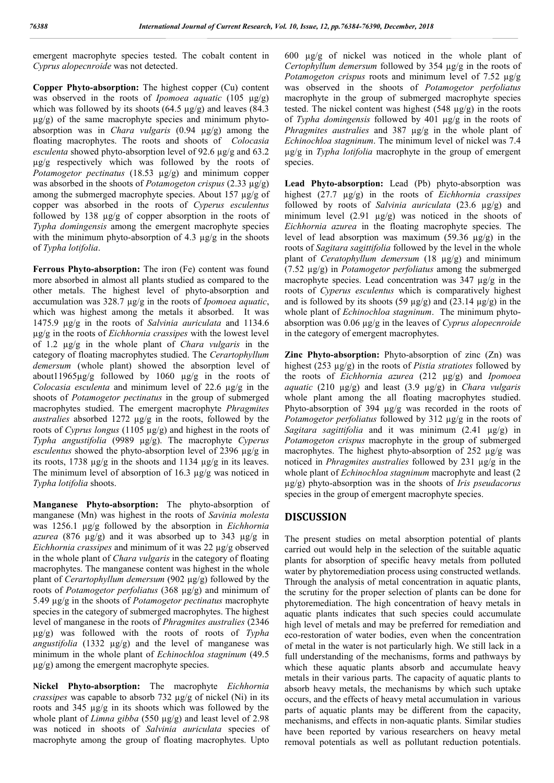emergent macrophyte species tested. The cobalt content in *Cyprus alopecnroide* was not detected.

**Copper Phyto-absorption:** The highest copper (Cu) content was observed in the roots of *Ipomoea aquatic* (105 µg/g) which was followed by its shoots (64.5  $\mu$ g/g) and leaves (84.3  $\mu$ g/g) of the same macrophyte species and minimum phytoabsorption was in *Chara vulgaris* (0.94 µg/g) among the floating macrophytes. The roots and shoots of *Colocasia esculenta* showed phyto-absorption level of 92.6 µg/g and 63.2 µg/g respectively which was followed by the roots of *Potamogetor pectinatus* (18.53 µg/g) and minimum copper was absorbed in the shoots of *Potamogeton crispus* (2.33 µg/g) among the submerged macrophyte species. About 157 µg/g of copper was absorbed in the roots of *Cyperus esculentus* followed by 138  $\mu$ g/g of copper absorption in the roots of *Typha domingensis* among the emergent macrophyte species with the minimum phyto-absorption of 4.3  $\mu$ g/g in the shoots of *Typha lotifolia*.

**Ferrous Phyto-absorption:** The iron (Fe) content was found more absorbed in almost all plants studied as compared to the other metals. The highest level of phyto-absorption and accumulation was 328.7 µg/g in the roots of *Ipomoea aquatic*, which was highest among the metals it absorbed. It was 1475.9 µg/g in the roots of *Salvinia auriculata* and 1134.6 µg/g in the roots of *Eichhornia crassipes* with the lowest level of 1.2 µg/g in the whole plant of *Chara vulgaris* in the category of floating macrophytes studied. The *Cerartophyllum demersum* (whole plant) showed the absorption level of about11965µg/g followed by 1060 µg/g in the roots of *Colocasia esculenta* and minimum level of 22.6 µg/g in the shoots of *Potamogetor pectinatus* in the group of submerged macrophytes studied. The emergent macrophyte *Phragmites australies* absorbed 1272 µg/g in the roots, followed by the roots of *Cyprus longus* (1105 µg/g) and highest in the roots of *Typha angustifolia* (9989 µg/g). The macrophyte *Cyperus esculentus* showed the phyto-absorption level of 2396 µg/g in its roots, 1738 µg/g in the shoots and 1134 µg/g in its leaves. The minimum level of absorption of 16.3 µg/g was noticed in *Typha lotifolia* shoots.

**Manganese Phyto-absorption:** The phyto-absorption of manganese (Mn) was highest in the roots of *Savinia molesta* was 1256.1 µg/g followed by the absorption in *Eichhornia azurea* (876 µg/g) and it was absorbed up to 343 µg/g in *Eichhornia crassipes* and minimum of it was 22 µg/g observed in the whole plant of *Chara vulgaris* in the category of floating macrophytes. The manganese content was highest in the whole plant of *Cerartophyllum demersum* (902 µg/g) followed by the roots of *Potamogetor perfoliatus* (368 µg/g) and minimum of 5.49 µg/g in the shoots of *Potamogetor pectinatus* macrophyte species in the category of submerged macrophytes. The highest level of manganese in the roots of *Phragmites australies* (2346 µg/g) was followed with the roots of roots of *Typha angustifolia* (1332 µg/g) and the level of manganese was minimum in the whole plant of *Echinochloa stagninum* (49.5  $\mu$ g/g) among the emergent macrophyte species.

**Nickel Phyto-absorption:** The macrophyte *Eichhornia crassipes* was capable to absorb 732 µg/g of nickel (Ni) in its roots and 345 µg/g in its shoots which was followed by the whole plant of *Limna gibba* (550 µg/g) and least level of 2.98 was noticed in shoots of *Salvinia auriculata* species of macrophyte among the group of floating macrophytes. Upto

600 µg/g of nickel was noticed in the whole plant of *Certophyllum demersum* followed by 354 µg/g in the roots of *Potamogeton crispus* roots and minimum level of 7.52 µg/g was observed in the shoots of *Potamogetor perfoliatus* macrophyte in the group of submerged macrophyte species tested. The nickel content was highest (548 µg/g) in the roots of *Typha domingensis* followed by 401 µg/g in the roots of *Phragmites australies* and 387 µg/g in the whole plant of *Echinochloa stagninum*. The minimum level of nickel was 7.4 µg/g in *Typha lotifolia* macrophyte in the group of emergent species.

**Lead Phyto-absorption:** Lead (Pb) phyto-absorption was highest (27.7 µg/g) in the roots of *Eichhornia crassipes* followed by roots of *Salvinia auriculata* (23.6 µg/g) and minimum level  $(2.91 \text{ µg/g})$  was noticed in the shoots of *Eichhornia azurea* in the floating macrophyte species. The level of lead absorption was maximum (59.36 µg/g) in the roots of *Sagitara sagittifolia* followed by the level in the whole plant of *Ceratophyllum demersum* (18 µg/g) and minimum (7.52 µg/g) in *Potamogetor perfoliatus* among the submerged macrophyte species. Lead concentration was 347 µg/g in the roots of *Cyperus esculentus* which is comparatively highest and is followed by its shoots (59  $\mu$ g/g) and (23.14  $\mu$ g/g) in the whole plant of *Echinochloa stagninum*. The minimum phytoabsorption was 0.06 µg/g in the leaves of *Cyprus alopecnroide* in the category of emergent macrophytes.

**Zinc Phyto-absorption:** Phyto-absorption of zinc (Zn) was highest (253 µg/g) in the roots of *Pistia stratiotes* followed by the roots of *Eichhornia azurea* (212 µg/g) and *Ipomoea aquatic* (210 µg/g) and least (3.9 µg/g) in *Chara vulgaris* whole plant among the all floating macrophytes studied. Phyto-absorption of 394  $\mu$ g/g was recorded in the roots of *Potamogetor perfoliatus* followed by 312  $\mu$ g/g in the roots of *Sagitara sagittifolia* and it was minimum (2.41 µg/g) in *Potamogeton crispus* macrophyte in the group of submerged macrophytes. The highest phyto-absorption of 252 µg/g was noticed in *Phragmites australies* followed by 231 µg/g in the whole plant of *Echinochloa stagninum* macrophyte and least (2 µg/g) phyto-absorption was in the shoots of *Iris pseudacorus* species in the group of emergent macrophyte species.

# **DISCUSSION**

The present studies on metal absorption potential of plants carried out would help in the selection of the suitable aquatic plants for absorption of specific heavy metals from polluted water by phytoremediation process using constructed wetlands. Through the analysis of metal concentration in aquatic plants, the scrutiny for the proper selection of plants can be done for phytoremediation. The high concentration of heavy metals in aquatic plants indicates that such species could accumulate high level of metals and may be preferred for remediation and eco-restoration of water bodies, even when the concentration of metal in the water is not particularly high. We still lack in a full understanding of the mechanisms, forms and pathways by which these aquatic plants absorb and accumulate heavy metals in their various parts. The capacity of aquatic plants to absorb heavy metals, the mechanisms by which such uptake occurs, and the effects of heavy metal accumulation in various parts of aquatic plants may be different from the capacity, mechanisms, and effects in non-aquatic plants. Similar studies have been reported by various researchers on heavy metal removal potentials as well as pollutant reduction potentials.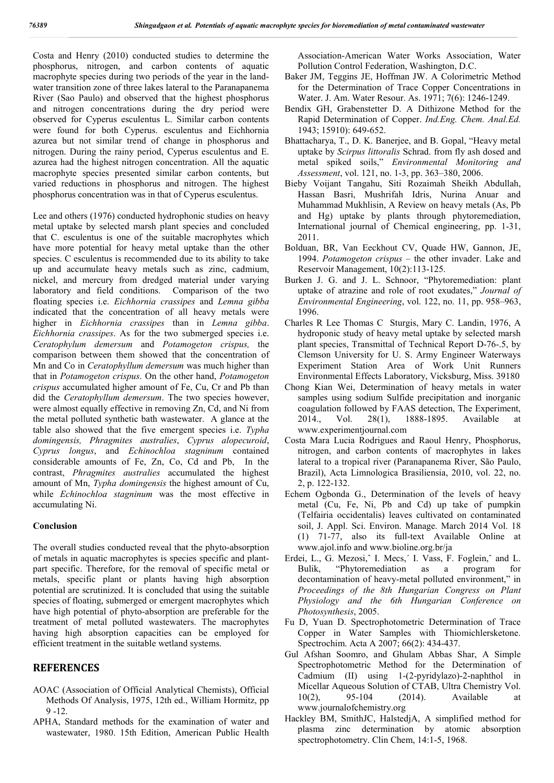Costa and Henry (2010) conducted studies to determine the phosphorus, nitrogen, and carbon contents of aquatic macrophyte species during two periods of the year in the landwater transition zone of three lakes lateral to the Paranapanema River (Sao Paulo) and observed that the highest phosphorus and nitrogen concentrations during the dry period were observed for Cyperus esculentus L. Similar carbon contents were found for both Cyperus. esculentus and Eichhornia azurea but not similar trend of change in phosphorus and nitrogen. During the rainy period, Cyperus esculentus and E. azurea had the highest nitrogen concentration. All the aquatic macrophyte species presented similar carbon contents, but varied reductions in phosphorus and nitrogen. The highest phosphorus concentration was in that of Cyperus esculentus.

Lee and others (1976) conducted hydrophonic studies on heavy metal uptake by selected marsh plant species and concluded that C. esculentus is one of the suitable macrophytes which have more potential for heavy metal uptake than the other species. C esculentus is recommended due to its ability to take up and accumulate heavy metals such as zinc, cadmium, nickel, and mercury from dredged material under varying laboratory and field conditions. Comparison of the two floating species i.e. *Eichhornia crassipes* and *Lemna gibba*  indicated that the concentration of all heavy metals were higher in *Eichhornia crassipes* than in *Lemna gibba*. *Eichhornia crassipes*. As for the two submerged species i.e. *Ceratophylum demersum* and *Potamogeton crispus,* the comparison between them showed that the concentration of Mn and Co in *Ceratophyllum demersum* was much higher than that in *Potamogeton crispus*. On the other hand, *Potamogeton crispus* accumulated higher amount of Fe, Cu, Cr and Pb than did the *Ceratophyllum demersum*. The two species however, were almost equally effective in removing Zn, Cd, and Ni from the metal polluted synthetic bath wastewater. A glance at the table also showed that the five emergent species i.e. *Typha domingensis, Phragmites australies*, *Cyprus alopecuroid*, *Cyprus longus*, and *Echinochloa stagninum* contained considerable amounts of Fe, Zn, Co, Cd and Pb, In the contrast, *Phragmites australies* accumulated the highest amount of Mn, *Typha domingensis* the highest amount of Cu, while *Echinochloa stagninum* was the most effective in accumulating Ni.

## **Conclusion**

The overall studies conducted reveal that the phyto-absorption of metals in aquatic macrophytes is species specific and plantpart specific. Therefore, for the removal of specific metal or metals, specific plant or plants having high absorption potential are scrutinized. It is concluded that using the suitable species of floating, submerged or emergent macrophytes which have high potential of phyto-absorption are preferable for the treatment of metal polluted wastewaters. The macrophytes having high absorption capacities can be employed for efficient treatment in the suitable wetland systems.

## **REFERENCES**

- AOAC (Association of Official Analytical Chemists), Official Methods Of Analysis, 1975, 12th ed., William Hormitz, pp  $9 - 12.$
- APHA, Standard methods for the examination of water and wastewater, 1980. 15th Edition, American Public Health

Association-American Water Works Association, Water Pollution Control Federation, Washington, D.C.

- Baker JM, Teggins JE, Hoffman JW. A Colorimetric Method for the Determination of Trace Copper Concentrations in Water. J. Am. Water Resour. As. 1971; 7(6): 1246-1249.
- Bendix GH, Grabenstetter D. A Dithizone Method for the Rapid Determination of Copper. *Ind.Eng. Chem. Anal.Ed.* 1943; 15910): 649-652.
- Bhattacharya, T., D. K. Banerjee, and B. Gopal, "Heavy metal uptake by *Scirpus littoralis* Schrad. from fly ash dosed and metal spiked soils," *Environmental Monitoring and Assessment*, vol. 121, no. 1-3, pp. 363–380, 2006.
- Bieby Voijant Tangahu, Siti Rozaimah Sheikh Abdullah, Hassan Basri, Mushrifah Idris, Nurina Anuar and Muhammad Mukhlisin, A Review on heavy metals (As, Pb and Hg) uptake by plants through phytoremediation, International journal of Chemical engineering, pp. 1-31, 2011.
- Bolduan, BR, Van Eeckhout CV, Quade HW, Gannon, JE, 1994. *Potamogeton crispus* – the other invader. Lake and Reservoir Management, 10(2):113-125.
- Burken J. G. and J. L. Schnoor, "Phytoremediation: plant uptake of atrazine and role of root exudates," *Journal of Environmental Engineering*, vol. 122, no. 11, pp. 958–963, 1996.
- Charles R Lee Thomas C Sturgis, Mary C. Landin, 1976, A hydroponic study of heavy metal uptake by selected marsh plant species, Transmittal of Technical Report D-76-.5, by Clemson University for U. S. Army Engineer Waterways Experiment Station Area of Work Unit Runners Environmental Effects Laboratory, Vicksburg, Miss. 39180
- Chong Kian Wei, Determination of heavy metals in water samples using sodium Sulfide precipitation and inorganic coagulation followed by FAAS detection, The Experiment, 2014. Vol. 28(1). 1888-1895. Available at 2014., Vol. 28(1), 1888-1895. Available at www.experimentjournal.com
- Costa Mara Lucia Rodrigues and Raoul Henry, Phosphorus, nitrogen, and carbon contents of macrophytes in lakes lateral to a tropical river (Paranapanema River, São Paulo, Brazil), Acta Limnologica Brasiliensia, 2010, vol. 22, no. 2, p. 122-132.
- Echem Ogbonda G., Determination of the levels of heavy metal (Cu, Fe, Ni, Pb and Cd) up take of pumpkin (Telfairia occidentalis) leaves cultivated on contaminated soil, J. Appl. Sci. Environ. Manage. March 2014 Vol. 18 (1) 71-77, also its full-text Available Online at www.ajol.info and www.bioline.org.br/ja
- Erdei, L., G. Mezosi,ˆ I. Mecs,´ I. Vass, F. Foglein,ˆ and L. Bulik, "Phytoremediation as a program for decontamination of heavy-metal polluted environment," in *Proceedings of the 8th Hungarian Congress on Plant Physiology and the 6th Hungarian Conference on Photosynthesis*, 2005.
- Fu D, Yuan D. Spectrophotometric Determination of Trace Copper in Water Samples with Thiomichlersketone. Spectrochim. Acta A 2007; 66(2): 434-437.
- Gul Afshan Soomro, and Ghulam Abbas Shar, A Simple Spectrophotometric Method for the Determination of Cadmium (II) using 1-(2-pyridylazo)-2-naphthol in Micellar Aqueous Solution of CTAB, Ultra Chemistry Vol. 10(2), 95-104 (2014). Available at www.journalofchemistry.org
- Hackley BM, SmithJC, HalstedjA, A simplified method for plasma zinc determination by atomic absorption spectrophotometry. Clin Chem, 14:1-5, 1968.